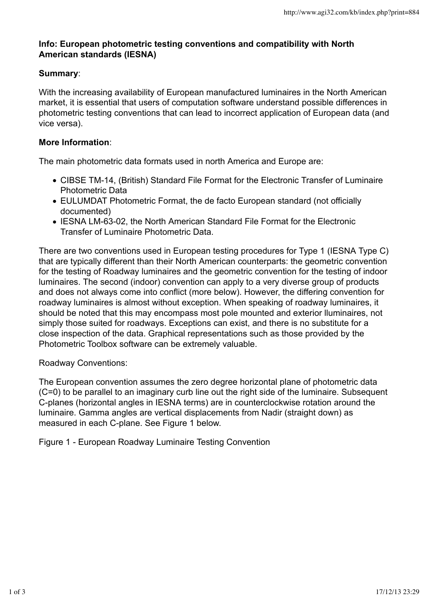## **Info: European photometric testing conventions and compatibility with North American standards (IESNA)**

## **Summary**:

With the increasing availability of European manufactured luminaires in the North American market, it is essential that users of computation software understand possible differences in photometric testing conventions that can lead to incorrect application of European data (and vice versa).

## **More Information**:

The main photometric data formats used in north America and Europe are:

- CIBSE TM-14, (British) Standard File Format for the Electronic Transfer of Luminaire Photometric Data
- EULUMDAT Photometric Format, the de facto European standard (not officially documented)
- IESNA LM-63-02, the North American Standard File Format for the Electronic Transfer of Luminaire Photometric Data.

There are two conventions used in European testing procedures for Type 1 (IESNA Type C) that are typically different than their North American counterparts: the geometric convention for the testing of Roadway luminaires and the geometric convention for the testing of indoor luminaires. The second (indoor) convention can apply to a very diverse group of products and does not always come into conflict (more below). However, the differing convention for roadway luminaires is almost without exception. When speaking of roadway luminaires, it should be noted that this may encompass most pole mounted and exterior lluminaires, not simply those suited for roadways. Exceptions can exist, and there is no substitute for a close inspection of the data. Graphical representations such as those provided by the Photometric Toolbox software can be extremely valuable.

Roadway Conventions:

The European convention assumes the zero degree horizontal plane of photometric data (C=0) to be parallel to an imaginary curb line out the right side of the luminaire. Subsequent C-planes (horizontal angles in IESNA terms) are in counterclockwise rotation around the luminaire. Gamma angles are vertical displacements from Nadir (straight down) as measured in each C-plane. See Figure 1 below.

Figure 1 - European Roadway Luminaire Testing Convention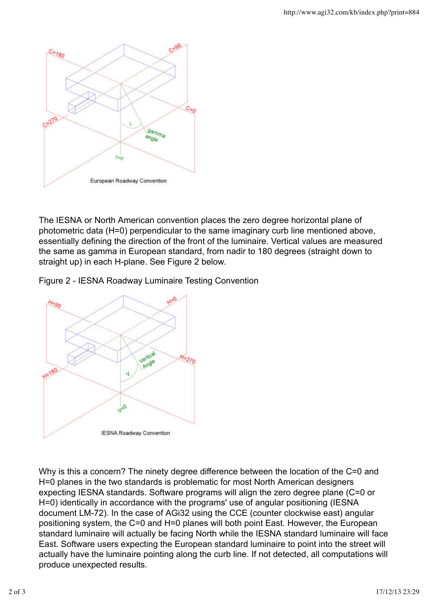

The IESNA or North American convention places the zero degree horizontal plane of photometric data (H=0) perpendicular to the same imaginary curb line mentioned above, essentially defining the direction of the front of the luminaire. Vertical values are measured the same as gamma in European standard, from nadir to 180 degrees (straight down to straight up) in each H-plane. See Figure 2 below.

Figure 2 - IESNA Roadway Luminaire Testing Convention



Why is this a concern? The ninety degree difference between the location of the C=0 and H=0 planes in the two standards is problematic for most North American designers expecting IESNA standards. Software programs will align the zero degree plane (C=0 or H=0) identically in accordance with the programs' use of angular positioning (IESNA document LM-72). In the case of AGi32 using the CCE (counter clockwise east) angular positioning system, the C=0 and H=0 planes will both point East. However, the European standard luminaire will actually be facing North while the IESNA standard luminaire will face East. Software users expecting the European standard luminaire to point into the street will actually have the luminaire pointing along the curb line. If not detected, all computations will produce unexpected results.